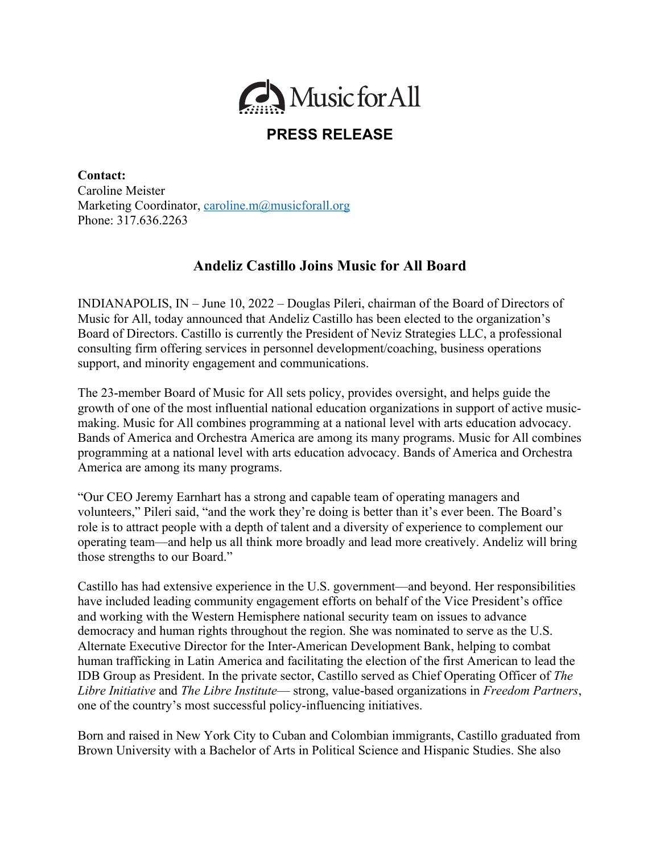

## **PRESS RELEASE**

**Contact:** Caroline Meister Marketing Coordinator, caroline.m@musicforall.org Phone: 317.636.2263

## **Andeliz Castillo Joins Music for All Board**

INDIANAPOLIS, IN – June 10, 2022 – Douglas Pileri, chairman of the Board of Directors of Music for All, today announced that Andeliz Castillo has been elected to the organization's Board of Directors. Castillo is currently the President of Neviz Strategies LLC, a professional consulting firm offering services in personnel development/coaching, business operations support, and minority engagement and communications.

The 23-member Board of Music for All sets policy, provides oversight, and helps guide the growth of one of the most influential national education organizations in support of active musicmaking. Music for All combines programming at a national level with arts education advocacy. Bands of America and Orchestra America are among its many programs. Music for All combines programming at a national level with arts education advocacy. Bands of America and Orchestra America are among its many programs.

"Our CEO Jeremy Earnhart has a strong and capable team of operating managers and volunteers," Pileri said, "and the work they're doing is better than it's ever been. The Board's role is to attract people with a depth of talent and a diversity of experience to complement our operating team––and help us all think more broadly and lead more creatively. Andeliz will bring those strengths to our Board."

Castillo has had extensive experience in the U.S. government––and beyond. Her responsibilities have included leading community engagement efforts on behalf of the Vice President's office and working with the Western Hemisphere national security team on issues to advance democracy and human rights throughout the region. She was nominated to serve as the U.S. Alternate Executive Director for the Inter-American Development Bank, helping to combat human trafficking in Latin America and facilitating the election of the first American to lead the IDB Group as President. In the private sector, Castillo served as Chief Operating Officer of *The Libre Initiative* and *The Libre Institute*–– strong, value-based organizations in *Freedom Partners*, one of the country's most successful policy-influencing initiatives.

Born and raised in New York City to Cuban and Colombian immigrants, Castillo graduated from Brown University with a Bachelor of Arts in Political Science and Hispanic Studies. She also